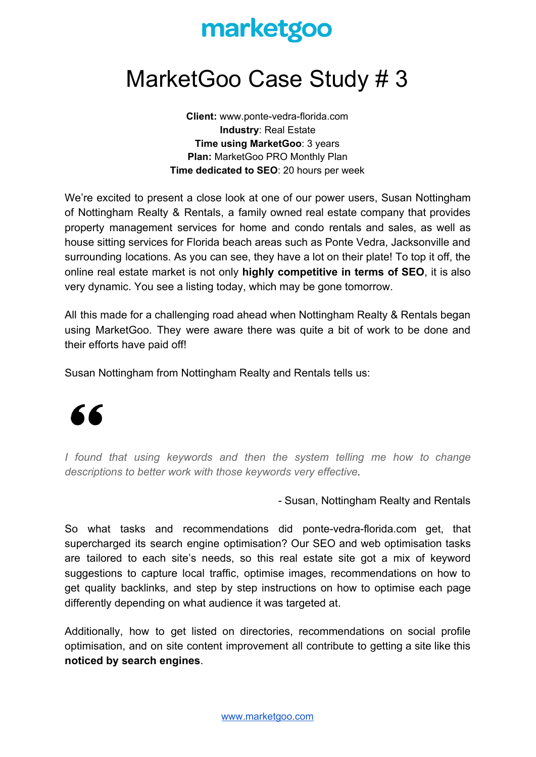## marketgoo

## MarketGoo Case Study # 3

**Client:** www.ponte-vedra-florida.com **Industry**: Real Estate **Time using MarketGoo**: 3 years **Plan:** MarketGoo PRO Monthly Plan **Time dedicated to SEO**: 20 hours per week

We're excited to present a close look at one of our power users, Susan Nottingham of Nottingham Realty & Rentals, a family owned real estate company that provides property management services for home and condo rentals and sales, as well as house sitting services for Florida beach areas such as Ponte Vedra, Jacksonville and surrounding locations. As you can see, they have a lot on their plate! To top it off, the online real estate market is not only **highly competitive in terms of SEO**, it is also very dynamic. You see a listing today, which may be gone tomorrow.

All this made for a challenging road ahead when Nottingham Realty & Rentals began using MarketGoo. They were aware there was quite a bit of work to be done and their efforts have paid off!

Susan Nottingham from Nottingham Realty and Rentals tells us:



*I found that using keywords and then the system telling me how to change descriptions to better work with those keywords very effective.*

*-* Susan, Nottingham Realty and Rentals

So what tasks and recommendations did ponte-vedra-florida.com get, that supercharged its search engine optimisation? Our SEO and web optimisation tasks are tailored to each site's needs, so this real estate site got a mix of keyword suggestions to capture local traffic, optimise images, recommendations on how to get quality backlinks, and step by step instructions on how to optimise each page differently depending on what audience it was targeted at.

Additionally, how to get listed on directories, recommendations on social profile optimisation, and on site content improvement all contribute to getting a site like this **noticed by search engines**.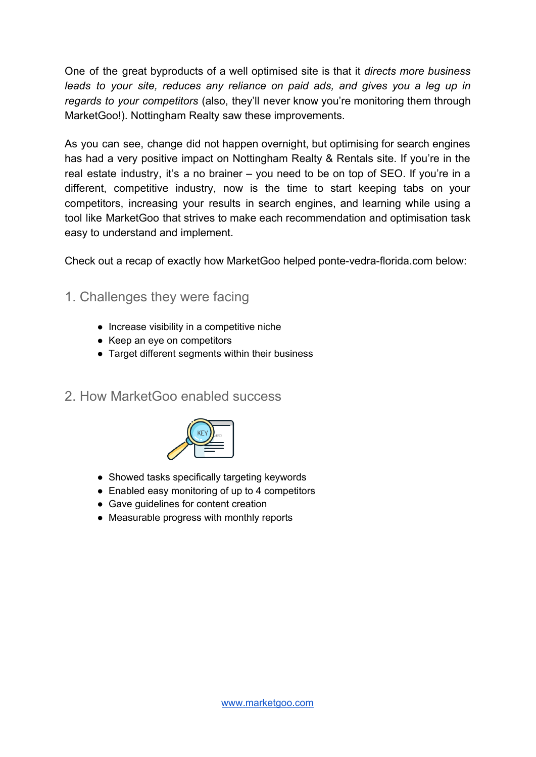One of the great byproducts of a well optimised site is that it *directs more business leads to your site, reduces any reliance on paid ads, and gives you a leg up in regards to your competitors* (also, they'll never know you're monitoring them through MarketGoo!). Nottingham Realty saw these improvements.

As you can see, change did not happen overnight, but optimising for search engines has had a very positive impact on Nottingham Realty & Rentals site. If you're in the real estate industry, it's a no brainer – you need to be on top of SEO. If you're in a different, competitive industry, now is the time to start keeping tabs on your competitors, increasing your results in search engines, and learning while using a tool like MarketGoo that strives to make each recommendation and optimisation task easy to understand and implement.

Check out a recap of exactly how MarketGoo helped ponte-vedra-florida.com below:

- 1. Challenges they were facing
	- Increase visibility in a competitive niche
	- Keep an eye on competitors
	- Target different segments within their business
- 2. How MarketGoo enabled success



- Showed tasks specifically targeting keywords
- Enabled easy monitoring of up to 4 competitors
- Gave guidelines for content creation
- Measurable progress with monthly reports